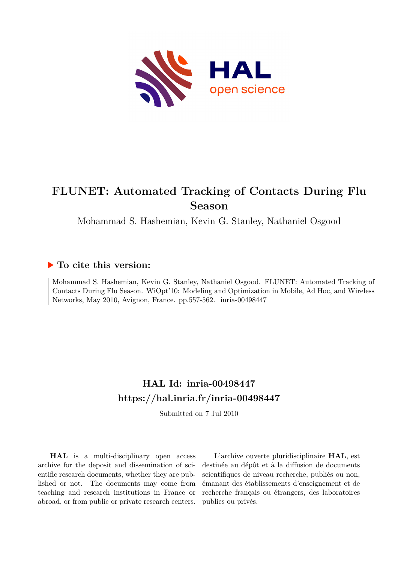

## **FLUNET: Automated Tracking of Contacts During Flu Season**

Mohammad S. Hashemian, Kevin G. Stanley, Nathaniel Osgood

### **To cite this version:**

Mohammad S. Hashemian, Kevin G. Stanley, Nathaniel Osgood. FLUNET: Automated Tracking of Contacts During Flu Season. WiOpt'10: Modeling and Optimization in Mobile, Ad Hoc, and Wireless Networks, May 2010, Avignon, France. pp.557-562. inria-00498447

## **HAL Id: inria-00498447 <https://hal.inria.fr/inria-00498447>**

Submitted on 7 Jul 2010

**HAL** is a multi-disciplinary open access archive for the deposit and dissemination of scientific research documents, whether they are published or not. The documents may come from teaching and research institutions in France or abroad, or from public or private research centers.

L'archive ouverte pluridisciplinaire **HAL**, est destinée au dépôt et à la diffusion de documents scientifiques de niveau recherche, publiés ou non, émanant des établissements d'enseignement et de recherche français ou étrangers, des laboratoires publics ou privés.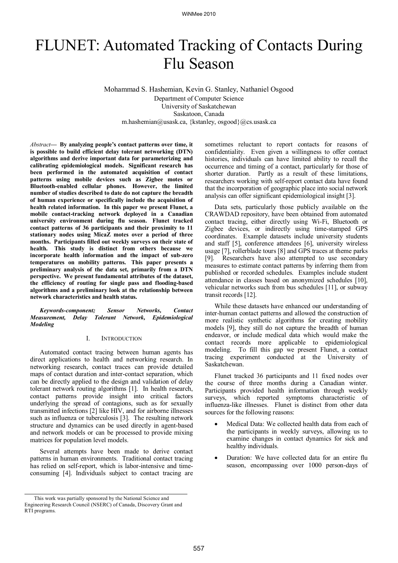# FLUNET: Automated Tracking of Contacts During Flu Season

Mohammad S. Hashemian, Kevin G. Stanley, Nathaniel Osgood

Department of Computer Science University of Saskatchewan Saskatoon, Canada m.hashemian@usask.ca, {kstanley, osgood}@cs.usask.ca

*Abstract***— By analyzing people's contact patterns over time, it is possible to build efficient delay tolerant networking (DTN) algorithms and derive important data for parameterizing and calibrating epidemiological models. Significant research has been performed in the automated acquisition of contact patterns using mobile devices such as Zigbee motes or Bluetooth-enabled cellular phones. However, the limited number of studies described to date do not capture the breadth of human experience or specifically include the acquisition of health related information. In this paper we present Flunet, a mobile contact-tracking network deployed in a Canadian university environment during flu season. Flunet tracked contact patterns of 36 participants and their proximity to 11 stationary nodes using MicaZ motes over a period of three months. Participants filled out weekly surveys on their state of health. This study is distinct from others because we incorporate health information and the impact of sub-zero temperatures on mobility patterns. This paper presents a preliminary analysis of the data set, primarily from a DTN perspective. We present fundamental attributes of the dataset, the efficiency of routing for single pass and flooding-based algorithms and a preliminary look at the relationship between network characteristics and health status.**

*Keywords-component; Sensor Networks, Contact Measurement, Delay Tolerant Network, Epidemiological Modeling*

#### I. INTRODUCTION

Automated contact tracing between human agents has direct applications to health and networking research. In networking research, contact traces can provide detailed maps of contact duration and inter-contact separation, which can be directly applied to the design and validation of delay tolerant network routing algorithms [1]. In health research, contact patterns provide insight into critical factors underlying the spread of contagions, such as for sexually transmitted infections [2] like HIV, and for airborne illnesses such as influenza or tuberculosis [3]. The resulting network structure and dynamics can be used directly in agent-based and network models or can be processed to provide mixing matrices for population level models.

Several attempts have been made to derive contact patterns in human environments. Traditional contact tracing has relied on self-report, which is labor-intensive and timeconsuming [4]. Individuals subject to contact tracing are

sometimes reluctant to report contacts for reasons of confidentiality. Even given a willingness to offer contact histories, individuals can have limited ability to recall the occurrence and timing of a contact, particularly for those of shorter duration. Partly as a result of these limitations, researchers working with self-report contact data have found that the incorporation of geographic place into social network analysis can offer significant epidemiological insight [3].

Data sets, particularly those publicly available on the CRAWDAD repository, have been obtained from automated contact tracing, either directly using Wi-Fi, Bluetooth or Zigbee devices, or indirectly using time-stamped GPS coordinates. Example datasets include university students and staff [5], conference attendees [6], university wireless usage [7], rollerblade tours [8] and GPS traces at theme parks [9]. Researchers have also attempted to use secondary measures to estimate contact patterns by inferring them from published or recorded schedules. Examples include student attendance in classes based on anonymized schedules [10], vehicular networks such from bus schedules [11], or subway transit records [12].

While these datasets have enhanced our understanding of inter-human contact patterns and allowed the construction of more realistic synthetic algorithms for creating mobility models [9], they still do not capture the breadth of human endeavor, or include medical data which would make the contact records more applicable to epidemiological modeling. To fill this gap we present Flunet, a contact tracing experiment conducted at the University of Saskatchewan.

Flunet tracked 36 participants and 11 fixed nodes over the course of three months during a Canadian winter. Participants provided health information through weekly surveys, which reported symptoms characteristic of influenza-like illnesses. Flunet is distinct from other data sources for the following reasons:

- Medical Data: We collected health data from each of the participants in weekly surveys, allowing us to examine changes in contact dynamics for sick and healthy individuals.
- Duration: We have collected data for an entire flu season, encompassing over 1000 person-days of

This work was partially sponsored by the National Science and Engineering Research Council (NSERC) of Canada, Discovery Grant and RTI programs.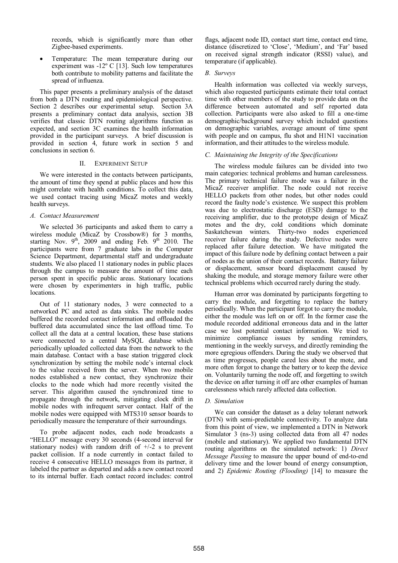records, which is significantly more than other Zigbee-based experiments.

 Temperature: The mean temperature during our experiment was -12º C [13]. Such low temperatures both contribute to mobility patterns and facilitate the spread of influenza.

This paper presents a preliminary analysis of the dataset from both a DTN routing and epidemiological perspective. Section 2 describes our experimental setup. Section 3A presents a preliminary contact data analysis, section 3B verifies that classic DTN routing algorithms function as expected, and section 3C examines the health information provided in the participant surveys. A brief discussion is provided in section 4, future work in section 5 and conclusions in section 6.

#### II. EXPERIMENT SETUP

We were interested in the contacts between participants, the amount of time they spend at public places and how this might correlate with health conditions. To collect this data, we used contact tracing using MicaZ motes and weekly health surveys.

#### *A. Contact Measurement*

We selected 36 participants and asked them to carry a wireless module (MicaZ by Crossbow®) for 3 months, starting Nov.  $9<sup>th</sup>$ , 2009 and ending Feb.  $9<sup>th</sup>$  2010. The participants were from 7 graduate labs in the Computer Science Department, departmental staff and undergraduate students. We also placed 11 stationary nodes in public places through the campus to measure the amount of time each person spent in specific public areas. Stationary locations were chosen by experimenters in high traffic, public locations.

Out of 11 stationary nodes, 3 were connected to a networked PC and acted as data sinks. The mobile nodes buffered the recorded contact information and offloaded the buffered data accumulated since the last offload time. To collect all the data at a central location, these base stations were connected to a central MySQL database which periodically uploaded collected data from the network to the main database. Contact with a base station triggered clock synchronization by setting the mobile node"s internal clock to the value received from the server. When two mobile nodes established a new contact, they synchronize their clocks to the node which had more recently visited the server. This algorithm caused the synchronized time to propagate through the network, mitigating clock drift in mobile nodes with infrequent server contact. Half of the mobile nodes were equipped with MTS310 sensor boards to periodically measure the temperature of their surroundings.

To probe adjacent nodes, each node broadcasts a "HELLO" message every 30 seconds (4-second interval for stationary nodes) with random drift of  $+/-2$  s to prevent packet collision. If a node currently in contact failed to receive 4 consecutive HELLO messages from its partner, it labeled the partner as departed and adds a new contact record to its internal buffer. Each contact record includes: control

flags, adjacent node ID, contact start time, contact end time, distance (discretized to "Close", "Medium", and "Far" based on received signal strength indicator (RSSI) value), and temperature (if applicable).

#### *B. Surveys*

Health information was collected via weekly surveys, which also requested participants estimate their total contact time with other members of the study to provide data on the difference between automated and self reported data collection. Participants were also asked to fill a one-time demographic/background survey which included questions on demographic variables, average amount of time spent with people and on campus, flu shot and H1N1 vaccination information, and their attitudes to the wireless module.

#### *C. Maintaining the Integrity of the Specifications*

The wireless module failures can be divided into two main categories: technical problems and human carelessness. The primary technical failure mode was a failure in the MicaZ receiver amplifier. The node could not receive HELLO packets from other nodes, but other nodes could record the faulty node"s existence. We suspect this problem was due to electrostatic discharge (ESD) damage to the receiving amplifier, due to the prototype design of MicaZ motes and the dry, cold conditions which dominate Saskatchewan winters. Thirty-two nodes experienced receiver failure during the study. Defective nodes were replaced after failure detection. We have mitigated the impact of this failure node by defining contact between a pair of nodes as the union of their contact records. Battery failure or displacement, sensor board displacement caused by shaking the module, and storage memory failure were other technical problems which occurred rarely during the study.

Human error was dominated by participants forgetting to carry the module, and forgetting to replace the battery periodically. When the participant forgot to carry the module, either the module was left on or off. In the former case the module recorded additional erroneous data and in the latter case we lost potential contact information. We tried to minimize compliance issues by sending reminders, mentioning in the weekly surveys, and directly reminding the more egregious offenders. During the study we observed that as time progresses, people cared less about the mote, and more often forgot to change the battery or to keep the device on. Voluntarily turning the node off, and forgetting to switch the device on after turning it off are other examples of human carelessness which rarely affected data collection.

#### *D. Simulation*

We can consider the dataset as a delay tolerant network (DTN) with semi-predictable connectivity. To analyze data from this point of view, we implemented a DTN in Network Simulator 3 (ns-3) using collected data from all 47 nodes (mobile and stationary). We applied two fundamental DTN routing algorithms on the simulated network: 1) *Direct Message Passing* to measure the upper bound of end-to-end delivery time and the lower bound of energy consumption, and 2) *Epidemic Routing (Flooding)* [14] to measure the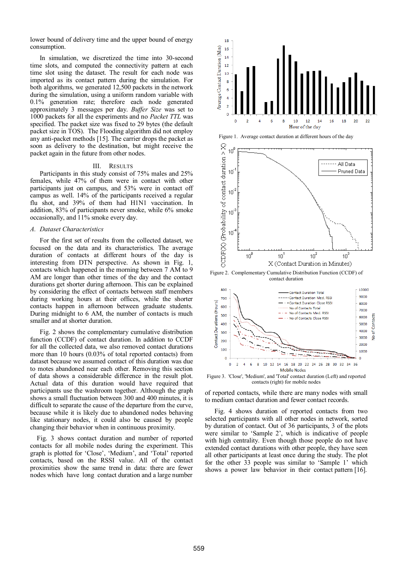lower bound of delivery time and the upper bound of energy consumption.

In simulation, we discretized the time into 30-second time slots, and computed the connectivity pattern at each time slot using the dataset. The result for each node was imported as its contact pattern during the simulation. For both algorithms, we generated 12,500 packets in the network during the simulation, using a uniform random variable with 0.1% generation rate; therefore each node generated approximately 3 messages per day. *Buffer Size* was set to 1000 packets for all the experiments and no *Packet TTL* was specified. The packet size was fixed to 29 bytes (the default packet size in TOS). The Flooding algorithm did not employ any anti-packet methods [15]. The carrier drops the packet as soon as delivery to the destination, but might receive the packet again in the future from other nodes.

#### III. RESULTS

Participants in this study consist of 75% males and 25% females, while 47% of them were in contact with other participants just on campus, and 53% were in contact off campus as well. 14% of the participants received a regular flu shot, and 39% of them had H1N1 vaccination. In addition, 83% of participants never smoke, while 6% smoke occasionally, and 11% smoke every day.

#### *A. Dataset Characteristics*

For the first set of results from the collected dataset, we focused on the data and its characteristics. The average duration of contacts at different hours of the day is interesting from DTN perspective. As shown in Fig. 1, contacts which happened in the morning between 7 AM to 9 AM are longer than other times of the day and the contact durations get shorter during afternoon. This can be explained by considering the effect of contacts between staff members during working hours at their offices, while the shorter contacts happen in afternoon between graduate students. During midnight to 6 AM, the number of contacts is much smaller and at shorter duration.

Fig. 2 shows the complementary cumulative distribution function (CCDF) of contact duration. In addition to CCDF for all the collected data, we also removed contact durations more than 10 hours (0.03% of total reported contacts) from dataset because we assumed contact of this duration was due to motes abandoned near each other. Removing this section of data shows a considerable difference in the result plot. Actual data of this duration would have required that participants use the washroom together. Although the graph shows a small fluctuation between 300 and 400 minutes, it is difficult to separate the cause of the departure from the curve, because while it is likely due to abandoned nodes behaving like stationary nodes, it could also be caused by people changing their behavior when in continuous proximity.

Fig. 3 shows contact duration and number of reported contacts for all mobile nodes during the experiment. This graph is plotted for "Close", "Medium", and "Total" reported contacts, based on the RSSI value. All of the contact proximities show the same trend in data: there are fewer nodes which have long contact duration and a large number







Figure 2. Complementary Cumulative Distribution Function (CCDF) of contact duration



Figure 3. 'Close', 'Medium', and 'Total' contact duration (Left) and reported contacts (right) for mobile nodes

of reported contacts, while there are many nodes with small to medium contact duration and fewer contact records.

Fig. 4 shows duration of reported contacts from two selected participants with all other nodes in network, sorted by duration of contact. Out of 36 participants, 3 of the plots were similar to 'Sample 2', which is indicative of people with high centrality. Even though those people do not have extended contact durations with other people, they have seen all other participants at least once during the study. The plot for the other 33 people was similar to "Sample 1" which shows a power law behavior in their contact pattern [16].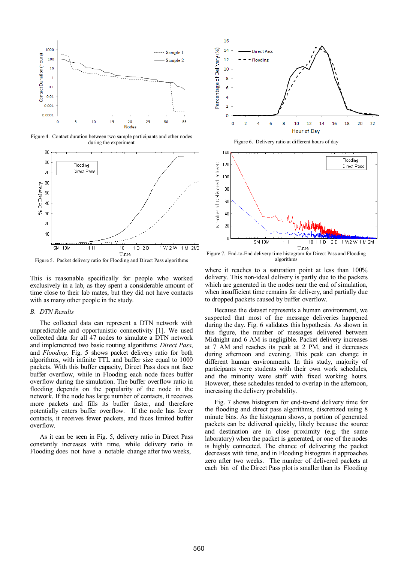

Figure 4. Contact duration between two sample participants and other nodes during the experiment



Figure 5. Packet delivery ratio for Flooding and Direct Pass algorithms

This is reasonable specifically for people who worked exclusively in a lab, as they spent a considerable amount of time close to their lab mates, but they did not have contacts with as many other people in the study.

#### *B. DTN Results*

The collected data can represent a DTN network with unpredictable and opportunistic connectivity [1]. We used collected data for all 47 nodes to simulate a DTN network and implemented two basic routing algorithms: *Direct Pass*, and *Flooding*. Fig. 5 shows packet delivery ratio for both algorithms, with infinite TTL and buffer size equal to 1000 packets. With this buffer capacity, Direct Pass does not face buffer overflow, while in Flooding each node faces buffer overflow during the simulation. The buffer overflow ratio in flooding depends on the popularity of the node in the network. If the node has large number of contacts, it receives more packets and fills its buffer faster, and therefore potentially enters buffer overflow. If the node has fewer contacts, it receives fewer packets, and faces limited buffer overflow.

As it can be seen in Fig. 5, delivery ratio in Direct Pass constantly increases with time, while delivery ratio in Flooding does not have a notable change after two weeks,



Figure 6. Delivery ratio at different hours of day



Figure 7. End-to-End delivery time histogram for Direct Pass and Flooding algorithms

where it reaches to a saturation point at less than  $100\%$ delivery. This non-ideal delivery is partly due to the packets which are generated in the nodes near the end of simulation, when insufficient time remains for delivery, and partially due to dropped packets caused by buffer overflow.

Because the dataset represents a human environment, we suspected that most of the message deliveries happened during the day. Fig. 6 validates this hypothesis. As shown in this figure, the number of messages delivered between Midnight and 6 AM is negligible. Packet delivery increases at 7 AM and reaches its peak at 2 PM, and it decreases during afternoon and evening. This peak can change in different human environments. In this study, majority of participants were students with their own work schedules, and the minority were staff with fixed working hours. However, these schedules tended to overlap in the afternoon, increasing the delivery probability.

Fig. 7 shows histogram for end-to-end delivery time for the flooding and direct pass algorithms, discretized using 8 minute bins. As the histogram shows, a portion of generated packets can be delivered quickly, likely because the source and destination are in close proximity (e.g. the same laboratory) when the packet is generated, or one of the nodes is highly connected. The chance of delivering the packet decreases with time, and in Flooding histogram it approaches zero after two weeks. The number of delivered packets at each bin of the Direct Pass plot is smaller than its Flooding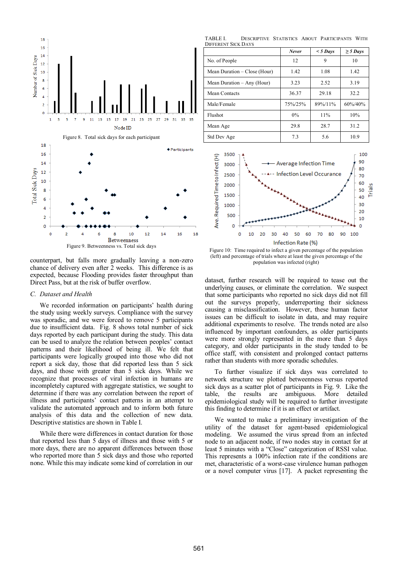

counterpart, but falls more gradually leaving a non-zero chance of delivery even after 2 weeks. This difference is as expected, because Flooding provides faster throughput than Direct Pass, but at the risk of buffer overflow.

#### *C. Dataset and Health*

We recorded information on participants' health during the study using weekly surveys. Compliance with the survey was sporadic, and we were forced to remove 5 participants due to insufficient data. Fig. 8 shows total number of sick days reported by each participant during the study. This data can be used to analyze the relation between peoples" contact patterns and their likelihood of being ill. We felt that participants were logically grouped into those who did not report a sick day, those that did reported less than 5 sick days, and those with greater than 5 sick days. While we recognize that processes of viral infection in humans are incompletely captured with aggregate statistics, we sought to determine if there was any correlation between the report of illness and participants" contact patterns in an attempt to validate the automated approach and to inform both future analysis of this data and the collection of new data. Descriptive statistics are shown in Table I.

While there were differences in contact duration for those that reported less than 5 days of illness and those with 5 or more days, there are no apparent differences between those who reported more than 5 sick days and those who reported none. While this may indicate some kind of correlation in our

TABLE I. DESCRIPTIVE STATISTICS ABOUT PARTICIPANTS WITH DIFFERENT SICK DAYS

|                              | Never   | $<$ 5 Days | $\geq$ 5 Days |
|------------------------------|---------|------------|---------------|
| No. of People                | 12      | 9          | 10            |
| Mean Duration – Close (Hour) | 1.42    | 1.08       | 1.42          |
| Mean Duration – Any (Hour)   | 3.23    | 2.52       | 3.19          |
| Mean Contacts                | 36.37   | 29.18      | 32.2          |
| Male/Female                  | 75%/25% | 89%/11%    | $60\%/40\%$   |
| Flushot                      | $0\%$   | 11%        | 10%           |
| Mean Age                     | 29.8    | 28.7       | 31.2          |
| Std Dev Age                  | 7.3     | 5.6        | 10.9          |



Figure 10: Time required to infect a given percentage of the population (left) and percentage of trials where at least the given percentage of the population was infected (right)

dataset, further research will be required to tease out the underlying causes, or eliminate the correlation. We suspect that some participants who reported no sick days did not fill out the surveys properly, underreporting their sickness causing a misclassification. However, these human factor issues can be difficult to isolate in data, and may require additional experiments to resolve. The trends noted are also influenced by important confounders, as older participants were more strongly represented in the more than 5 days category, and older participants in the study tended to be office staff, with consistent and prolonged contact patterns rather than students with more sporadic schedules.

To further visualize if sick days was correlated to network structure we plotted betweenness versus reported sick days as a scatter plot of participants in Fig. 9. Like the table, the results are ambiguous. More detailed epidemiological study will be required to further investigate this finding to determine if it is an effect or artifact.

We wanted to make a preliminary investigation of the utility of the dataset for agent-based epidemiological modeling. We assumed the virus spread from an infected node to an adjacent node, if two nodes stay in contact for at least 5 minutes with a "Close" categorization of RSSI value. This represents a 100% infection rate if the conditions are met, characteristic of a worst-case virulence human pathogen or a novel computer virus [17]. A packet representing the